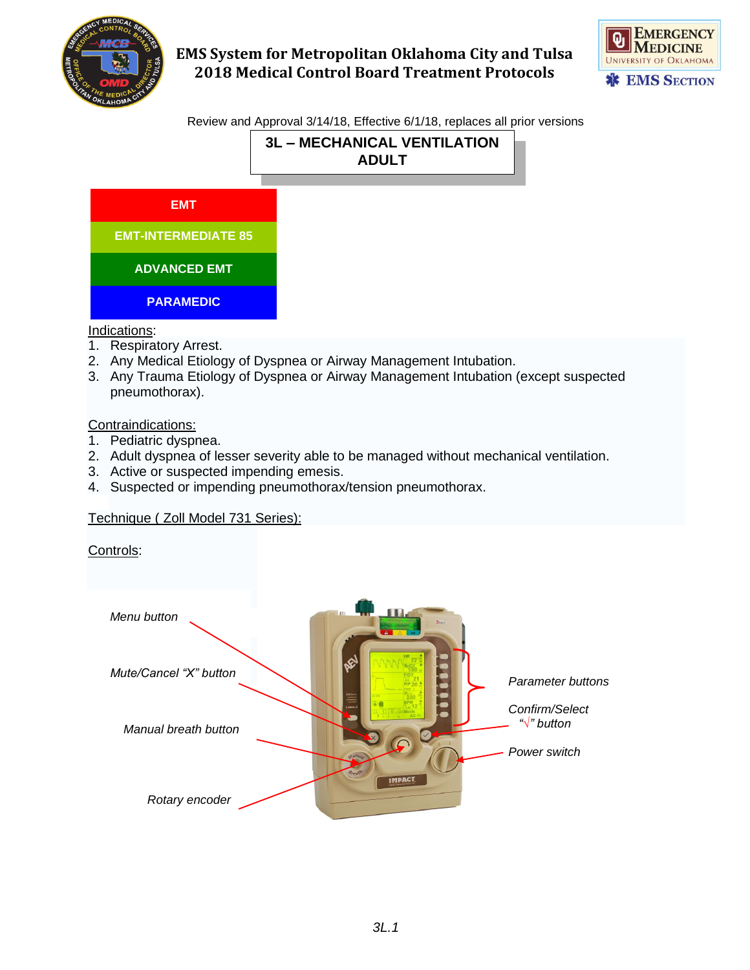



Review and Approval 3/14/18, Effective 6/1/18, replaces all prior versions

# **3L – MECHANICAL VENTILATION ADULT**



#### Indications:

- 1. Respiratory Arrest.
- 2. Any Medical Etiology of Dyspnea or Airway Management Intubation.
- 3. Any Trauma Etiology of Dyspnea or Airway Management Intubation (except suspected pneumothorax).

### Contraindications:

- 1. Pediatric dyspnea.
- 2. Adult dyspnea of lesser severity able to be managed without mechanical ventilation.
- 3. Active or suspected impending emesis.
- 4. Suspected or impending pneumothorax/tension pneumothorax.

### Technique ( Zoll Model 731 Series):

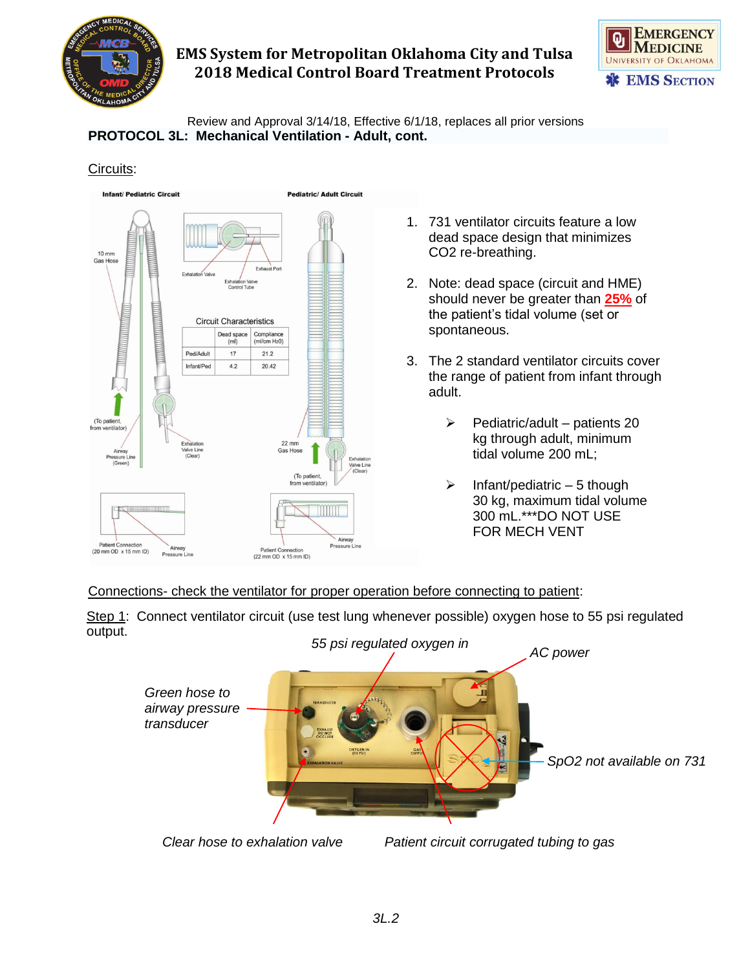



Review and Approval 3/14/18, Effective 6/1/18, replaces all prior versions **PROTOCOL 3L: Mechanical Ventilation - Adult, cont.**

#### Circuits:



- 1. 731 ventilator circuits feature a low dead space design that minimizes CO2 re-breathing.
- 2. Note: dead space (circuit and HME) should never be greater than **25%** of the patient's tidal volume (set or spontaneous.
- 3. The 2 standard ventilator circuits cover the range of patient from infant through adult.
	- $\triangleright$  Pediatric/adult patients 20 kg through adult, minimum tidal volume 200 mL;
	- $\triangleright$  Infant/pediatric 5 though 30 kg, maximum tidal volume 300 mL.\*\*\*DO NOT USE FOR MECH VENT

Connections- check the ventilator for proper operation before connecting to patient:

Step 1: Connect ventilator circuit (use test lung whenever possible) oxygen hose to 55 psi regulated output.



*Clear hose to exhalation valve Patient circuit corrugated tubing to gas*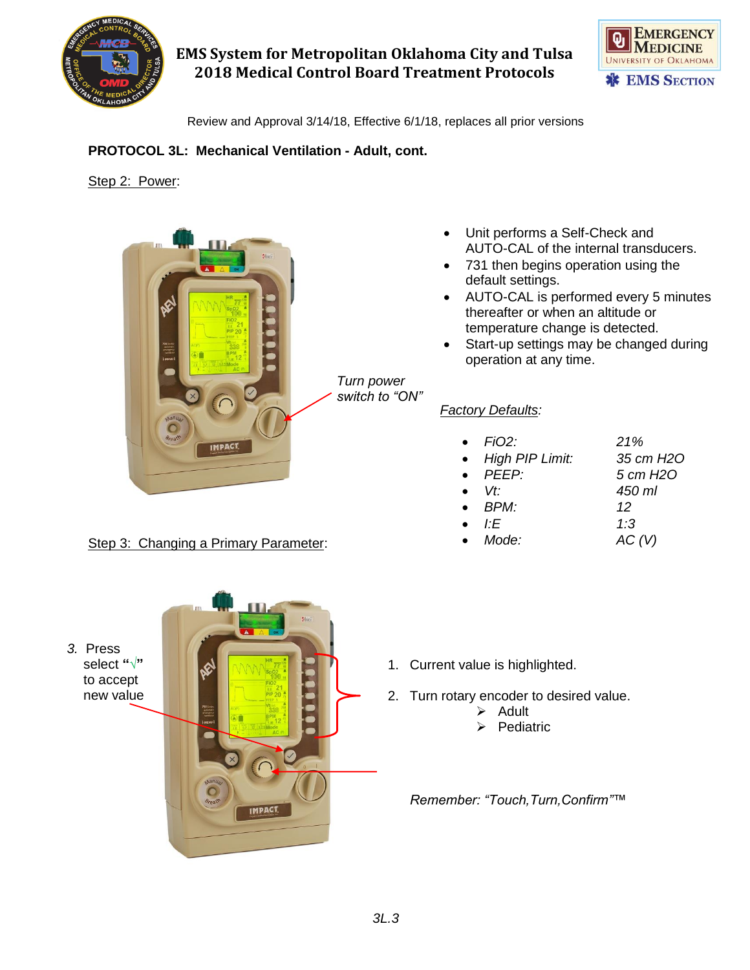



Review and Approval 3/14/18, Effective 6/1/18, replaces all prior versions

*Turn power switch to "ON"*

### **PROTOCOL 3L: Mechanical Ventilation - Adult, cont.**

#### Step 2: Power:

*3.* Press select **"√"**  to accept new value



### Step 3: Changing a Primary Parameter:

- Unit performs a Self-Check and AUTO-CAL of the internal transducers.
- 731 then begins operation using the default settings.
- AUTO-CAL is performed every 5 minutes thereafter or when an altitude or temperature change is detected.
- Start-up settings may be changed during operation at any time.

### *Factory Defaults:*

| FiO2:                  | 21%               |
|------------------------|-------------------|
| <b>High PIP Limit:</b> | 35 cm H2O         |
| $\bullet$ PEEP:        | 5 cm H2O          |
| $Vf^*$                 | 450 ml            |
| $\bullet$ BPM          | 12                |
| ŀF                     | 1:3               |
| Mode:                  | AC <sub>(V)</sub> |

- 1. Current value is highlighted.
- 2. Turn rotary encoder to desired value.
	- ➢ Adult
	- **Pediatric**

3 *Remember: "Touch,Turn,Confirm"™*